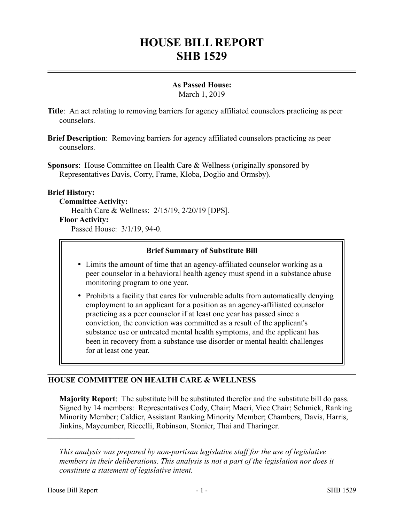# **HOUSE BILL REPORT SHB 1529**

# **As Passed House:**

March 1, 2019

- **Title**: An act relating to removing barriers for agency affiliated counselors practicing as peer counselors.
- **Brief Description**: Removing barriers for agency affiliated counselors practicing as peer counselors.
- **Sponsors**: House Committee on Health Care & Wellness (originally sponsored by Representatives Davis, Corry, Frame, Kloba, Doglio and Ormsby).

# **Brief History:**

**Committee Activity:**

Health Care & Wellness: 2/15/19, 2/20/19 [DPS].

#### **Floor Activity:**

Passed House: 3/1/19, 94-0.

### **Brief Summary of Substitute Bill**

- Limits the amount of time that an agency-affiliated counselor working as a peer counselor in a behavioral health agency must spend in a substance abuse monitoring program to one year.
- Prohibits a facility that cares for vulnerable adults from automatically denying employment to an applicant for a position as an agency-affiliated counselor practicing as a peer counselor if at least one year has passed since a conviction, the conviction was committed as a result of the applicant's substance use or untreated mental health symptoms, and the applicant has been in recovery from a substance use disorder or mental health challenges for at least one year.

# **HOUSE COMMITTEE ON HEALTH CARE & WELLNESS**

**Majority Report**: The substitute bill be substituted therefor and the substitute bill do pass. Signed by 14 members: Representatives Cody, Chair; Macri, Vice Chair; Schmick, Ranking Minority Member; Caldier, Assistant Ranking Minority Member; Chambers, Davis, Harris, Jinkins, Maycumber, Riccelli, Robinson, Stonier, Thai and Tharinger.

––––––––––––––––––––––

*This analysis was prepared by non-partisan legislative staff for the use of legislative members in their deliberations. This analysis is not a part of the legislation nor does it constitute a statement of legislative intent.*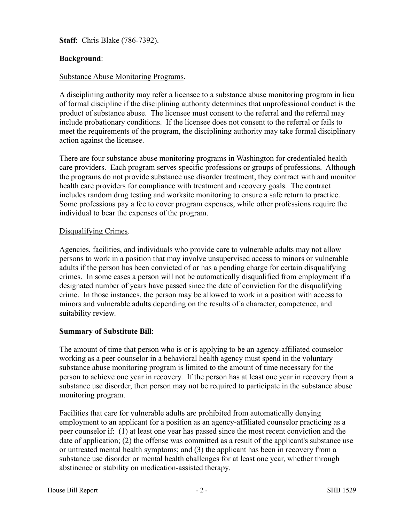**Staff**: Chris Blake (786-7392).

# **Background**:

#### Substance Abuse Monitoring Programs.

A disciplining authority may refer a licensee to a substance abuse monitoring program in lieu of formal discipline if the disciplining authority determines that unprofessional conduct is the product of substance abuse. The licensee must consent to the referral and the referral may include probationary conditions. If the licensee does not consent to the referral or fails to meet the requirements of the program, the disciplining authority may take formal disciplinary action against the licensee.

There are four substance abuse monitoring programs in Washington for credentialed health care providers. Each program serves specific professions or groups of professions. Although the programs do not provide substance use disorder treatment, they contract with and monitor health care providers for compliance with treatment and recovery goals. The contract includes random drug testing and worksite monitoring to ensure a safe return to practice. Some professions pay a fee to cover program expenses, while other professions require the individual to bear the expenses of the program.

#### Disqualifying Crimes.

Agencies, facilities, and individuals who provide care to vulnerable adults may not allow persons to work in a position that may involve unsupervised access to minors or vulnerable adults if the person has been convicted of or has a pending charge for certain disqualifying crimes. In some cases a person will not be automatically disqualified from employment if a designated number of years have passed since the date of conviction for the disqualifying crime. In those instances, the person may be allowed to work in a position with access to minors and vulnerable adults depending on the results of a character, competence, and suitability review.

#### **Summary of Substitute Bill**:

The amount of time that person who is or is applying to be an agency-affiliated counselor working as a peer counselor in a behavioral health agency must spend in the voluntary substance abuse monitoring program is limited to the amount of time necessary for the person to achieve one year in recovery. If the person has at least one year in recovery from a substance use disorder, then person may not be required to participate in the substance abuse monitoring program.

Facilities that care for vulnerable adults are prohibited from automatically denying employment to an applicant for a position as an agency-affiliated counselor practicing as a peer counselor if: (1) at least one year has passed since the most recent conviction and the date of application; (2) the offense was committed as a result of the applicant's substance use or untreated mental health symptoms; and (3) the applicant has been in recovery from a substance use disorder or mental health challenges for at least one year, whether through abstinence or stability on medication-assisted therapy.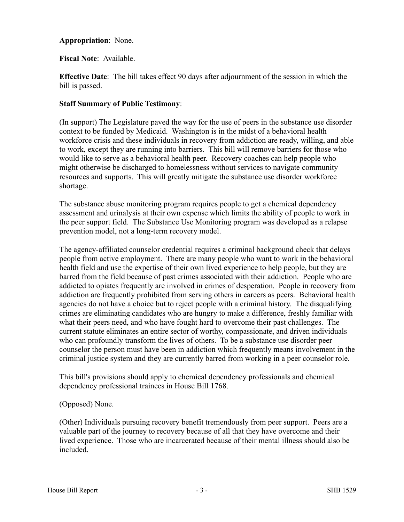### **Appropriation**: None.

### **Fiscal Note**: Available.

**Effective Date**: The bill takes effect 90 days after adjournment of the session in which the bill is passed.

### **Staff Summary of Public Testimony**:

(In support) The Legislature paved the way for the use of peers in the substance use disorder context to be funded by Medicaid. Washington is in the midst of a behavioral health workforce crisis and these individuals in recovery from addiction are ready, willing, and able to work, except they are running into barriers. This bill will remove barriers for those who would like to serve as a behavioral health peer. Recovery coaches can help people who might otherwise be discharged to homelessness without services to navigate community resources and supports. This will greatly mitigate the substance use disorder workforce shortage.

The substance abuse monitoring program requires people to get a chemical dependency assessment and urinalysis at their own expense which limits the ability of people to work in the peer support field. The Substance Use Monitoring program was developed as a relapse prevention model, not a long-term recovery model.

The agency-affiliated counselor credential requires a criminal background check that delays people from active employment. There are many people who want to work in the behavioral health field and use the expertise of their own lived experience to help people, but they are barred from the field because of past crimes associated with their addiction. People who are addicted to opiates frequently are involved in crimes of desperation. People in recovery from addiction are frequently prohibited from serving others in careers as peers. Behavioral health agencies do not have a choice but to reject people with a criminal history. The disqualifying crimes are eliminating candidates who are hungry to make a difference, freshly familiar with what their peers need, and who have fought hard to overcome their past challenges. The current statute eliminates an entire sector of worthy, compassionate, and driven individuals who can profoundly transform the lives of others. To be a substance use disorder peer counselor the person must have been in addiction which frequently means involvement in the criminal justice system and they are currently barred from working in a peer counselor role.

This bill's provisions should apply to chemical dependency professionals and chemical dependency professional trainees in House Bill 1768.

# (Opposed) None.

(Other) Individuals pursuing recovery benefit tremendously from peer support. Peers are a valuable part of the journey to recovery because of all that they have overcome and their lived experience. Those who are incarcerated because of their mental illness should also be included.